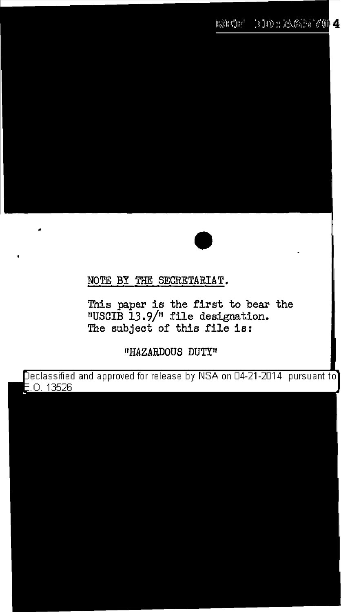

## NOTE BY THE SECRETARIAT.

This paper is the first to bear the "USCIB 13.9/" file designation. The subject of this file is:

"HAZARDOUS DUTY"

eclassified and approved for release by NSA on 04-21-2014 pursuant to .0. 13526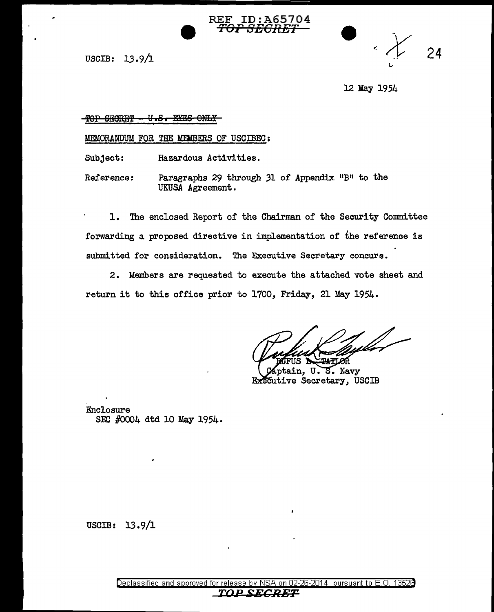

USCIB:  $13.9/1$ 

24

12 May 1954

### TOP SECRET - U.S. EYES ONLY

MEMORANDUM FOR THE MEMBERS OF USCIBEC:

Subject: Hazardous Activities.

Reference: Paragraphs 29 through 31 of Appendix "B" to the UKUSA Agreement.

1. The enclosed Report of the Chairman of the Security Committee forwarding a proposed directive in implementation of the reference is submitted for consideration. The Executive Secretary concurs.

2. Members are requested to execute the attached vote sheet and return it to this office prior to 1700, Friday, 21 May 1954.

S. Navy ain, U. Executive Secretary, USCIB

Enclosure SEC #0004 dtd 10 May 1954.

USCIB: 13.9/l

Declassified and approved for release by NSA on 02-26-2014 pursuant to E. 0. 1352B *TDPS.ECRBT*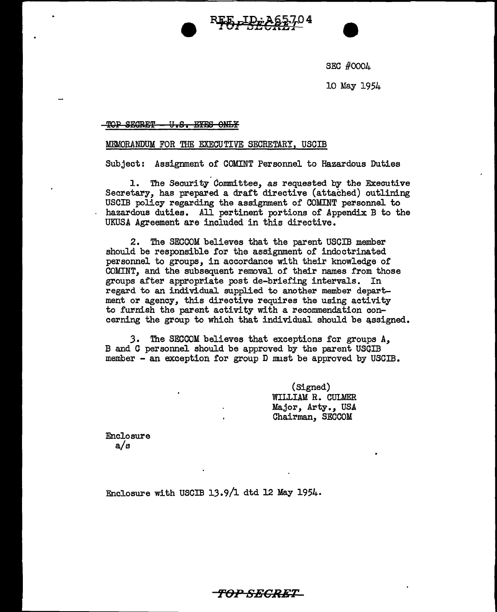



SEC #0004

10 May 1954

TOP SECRET - U.S. EYES ONLY

### MEMORANDUM FOR THE EXECUTIVE SECRETARY, USCIB

Subject: Assignment of COMINT Personnel to Hazardous Duties

1. The Security Committee, as requested by the Executive Secretary, has prepared a draft directive (attached) outlining USCIB policy regarding the assignment of COMINT personnel to hazardous duties. All pertinent portions of Appendix B to the UKUSA Agreement are included in this directive.

2. The SECCOM believes that the parent USCIB member should be responsible for the assignment of indoctrinated personnel to groups, in accordance with their knowledge of COMINT, and the subsequent removal of their names from those groups after appropriate post de-briefing intervals. In regard to an individual supplied to another member department or agency, this directive requires the using activity to furnish the parent activity with a recommendation concerning the group to which that individual should be assigned.

*3.* The SECCOM believes that exceptions for groups A, B and *G* personnel should be approved by the parent USOIB member - an exception for group D must be approved by USCIB.

> (Signed) WILLIAM R. CULMER Major, Arty., USA Chairman, SEGGOM

Enclosure a/a

Enclosure with USGIB 13.9/l dtd 12 May 1954.

*'FOP SECRET*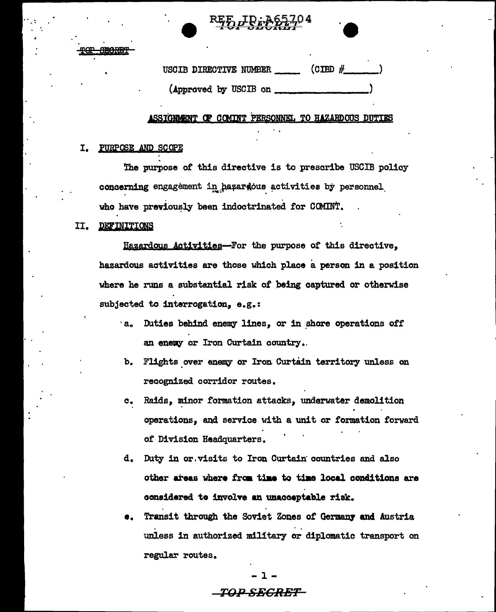



 $\overline{\text{CDD}}$  # USCIB DIRECTIVE NUMBER (Approved by USCIB on

### SSIGNMENT OF COMINT PERSONNEL TO HAZARDOUS DUTIES

### PURPOSE AND SCOPE I.

The purpose of this directive is to prescribe USCIB policy concerning engagement in hazardous activities by personnel who have previously been indoctrinated for COMINT.

#### II. **DEFINITIONS**

Hazardous Activities--For the purpose of this directive. hazardous activities are those which place a person in a position where he runs a substantial risk of being captured or otherwise subjected to interrogation, e.g.:

- a. Duties behind enemy lines, or in shore operations off an enemy or Iron Curtain country.
- b. Flights over enemy or Iron Curtain territory unless on recognized corridor routes.
- Raids, minor formation attacks, underwater demolition  $\mathbf{c}_{\bullet}$ operations, and service with a unit or formation forward of Division Headquarters.
- d. Duty in or visits to Iron Curtain countries and also other areas where from time to time local conditions are considered to involve an unacceptable risk.
- Transit through the Soviet Zones of Germany and Austria О. unless in authorized military or diplomatic transport on regular routes.

# *TOP SECRET*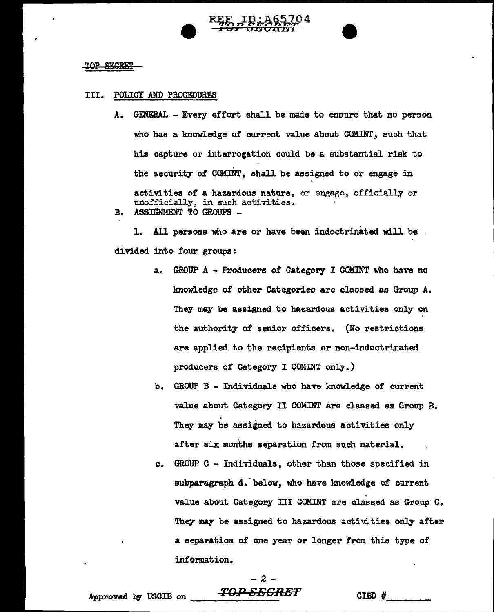

### **TOP SECRET**

### III. POLICY AND PROCEDURES

A. GENERAL - Every effort shall be made to ensure that no person who has a knowledge of current value about COMINT, such that his capture or interrogation could be a substantial risk to the security of CCMINT, shall be assigned to or engage in activities of a hazardous nature, or engage, officially or unofficially, in such activities. B. ASSIGNMENT TO GROUPS -

1. All persons who are or have been indoctrinated will be divided into four groups:

- a. GROUP A Producers or Category I COMINT who have no knowledge of other Categories are classed as Group A. They may be assigned to hazardous activities only on the authority of senior officers. (No restrictions are applied to the recipients or non-indoctrinated producers of Category I COMINT only.)
- b. GROUP  $B Individuals$  who have knowledge of current value about Category II COMINT are classed as Group B. They may be assigned. to hazardous activities only after six months separation from such material.
- c. GROUP C Individuals, other than those specified in subparagraph d. below, who have knowledge of current value about Category III COMINT are classed as Group C. They may be assigned to hazardous activities only after a separation of one year or longer from this type of information.

## - 2 -  $\begin{array}{cc} -2 & -2 \ -2 & -1 \end{array}$ <br>Approved by USCIB on  $\begin{array}{cc} -2 & -2 \end{array}$  CIBD  $\#$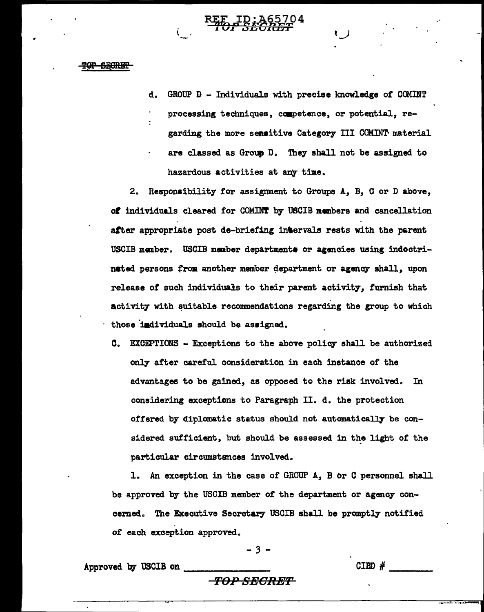### <del>OP SECRIT</del>

d. GROUP D - Individuals with precise knowledge of COMINT processing techniques, ccapetence, or potential, regarding the more sensitive Category III COMINT material are classed as Group D. They shall not be assigned to hazardous activities at anr time.

2. Responsibility for assignment to Groups A, B, C or D above, of individuals cleared for COMINT by USCIB members and cancellation after appropriate post de-briefing in'ervals rests with the parent USCIB member. USCIB member departments or agencies using indoctrinated persons from another member department or agency shall, upon release of such individuals to their parent activity, furnish that activity with suitable recommendations regarding the group to which those individuals should be assigned.

C. EXCEPTIONS - Exceptions to the above policy shall be authorized only after careful consideration in each instance of the advantages to be gained, as opposed to the risk involved. In considering exceptions to Paragraph II. d. the protection offered by diplomatic status should not automatically be considered sufficient, but should be assessed in the light of the particular circumstances involved.

1. An exception in the case of GROUP *A,* B or C personnel shall be approved by the USOIB member of the department or agency concemed.. The Executive Secretary USCIB shall be promptly notified of each exception approved.

$$
-3 -
$$

 $-3$  -<br>Approved by USCIB on  $\overline{C}$   $\overline{C}$   $\overline{C}$   $\overline{C}$   $\overline{C}$   $\overline{C}$   $\overline{C}$   $\overline{C}$   $\overline{C}$   $\overline{C}$   $\overline{C}$   $\overline{C}$   $\overline{C}$   $\overline{C}$   $\overline{C}$   $\overline{C}$   $\overline{C}$   $\overline{C}$   $\overline{C}$   $\overline{C}$   $\overline{C}$   $\overline$ 

TOPSEGRET